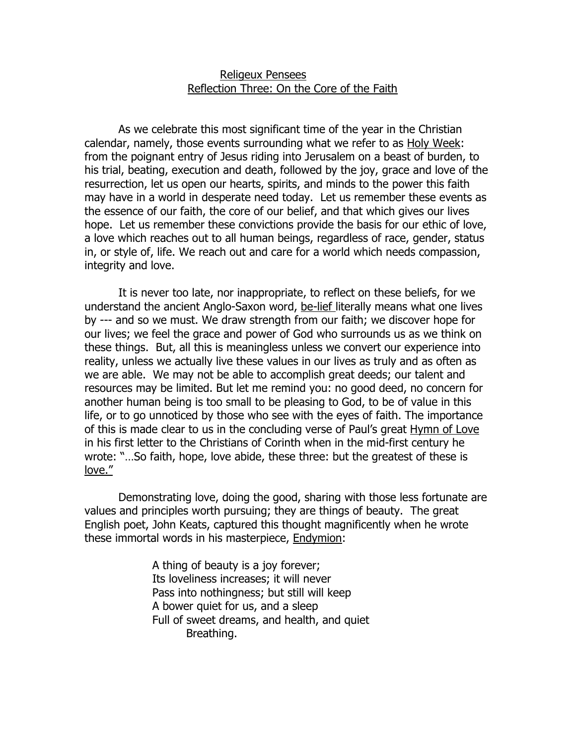## Religeux Pensees Reflection Three: On the Core of the Faith

 As we celebrate this most significant time of the year in the Christian calendar, namely, those events surrounding what we refer to as Holy Week: from the poignant entry of Jesus riding into Jerusalem on a beast of burden, to his trial, beating, execution and death, followed by the joy, grace and love of the resurrection, let us open our hearts, spirits, and minds to the power this faith may have in a world in desperate need today. Let us remember these events as the essence of our faith, the core of our belief, and that which gives our lives hope. Let us remember these convictions provide the basis for our ethic of love, a love which reaches out to all human beings, regardless of race, gender, status in, or style of, life. We reach out and care for a world which needs compassion, integrity and love.

 It is never too late, nor inappropriate, to reflect on these beliefs, for we understand the ancient Anglo-Saxon word, be-lief literally means what one lives by --- and so we must. We draw strength from our faith; we discover hope for our lives; we feel the grace and power of God who surrounds us as we think on these things. But, all this is meaningless unless we convert our experience into reality, unless we actually live these values in our lives as truly and as often as we are able. We may not be able to accomplish great deeds; our talent and resources may be limited. But let me remind you: no good deed, no concern for another human being is too small to be pleasing to God, to be of value in this life, or to go unnoticed by those who see with the eyes of faith. The importance of this is made clear to us in the concluding verse of Paul's great Hymn of Love in his first letter to the Christians of Corinth when in the mid-first century he wrote: "…So faith, hope, love abide, these three: but the greatest of these is love."

 Demonstrating love, doing the good, sharing with those less fortunate are values and principles worth pursuing; they are things of beauty. The great English poet, John Keats, captured this thought magnificently when he wrote these immortal words in his masterpiece, Endymion:

> A thing of beauty is a joy forever; Its loveliness increases; it will never Pass into nothingness; but still will keep A bower quiet for us, and a sleep Full of sweet dreams, and health, and quiet Breathing.